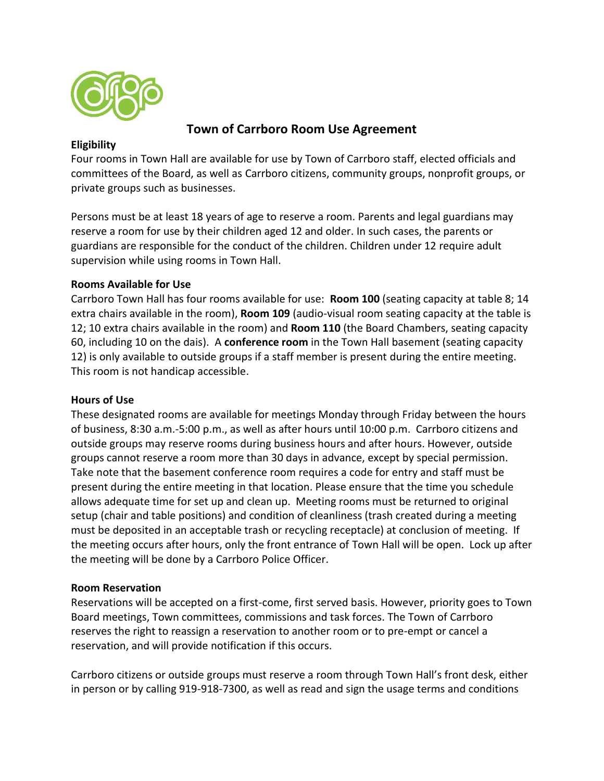

# **Town of Carrboro Room Use Agreement**

## **Eligibility**

Four rooms in Town Hall are available for use by Town of Carrboro staff, elected officials and committees of the Board, as well as Carrboro citizens, community groups, nonprofit groups, or private groups such as businesses.

Persons must be at least 18 years of age to reserve a room. Parents and legal guardians may reserve a room for use by their children aged 12 and older. In such cases, the parents or guardians are responsible for the conduct of the children. Children under 12 require adult supervision while using rooms in Town Hall.

## **Rooms Available for Use**

Carrboro Town Hall has four rooms available for use: **Room 100** (seating capacity at table 8; 14 extra chairs available in the room), **Room 109** (audio-visual room seating capacity at the table is 12; 10 extra chairs available in the room) and **Room 110** (the Board Chambers, seating capacity 60, including 10 on the dais). A **conference room** in the Town Hall basement (seating capacity 12) is only available to outside groups if a staff member is present during the entire meeting. This room is not handicap accessible.

#### **Hours of Use**

These designated rooms are available for meetings Monday through Friday between the hours of business, 8:30 a.m.-5:00 p.m., as well as after hours until 10:00 p.m. Carrboro citizens and outside groups may reserve rooms during business hours and after hours. However, outside groups cannot reserve a room more than 30 days in advance, except by special permission. Take note that the basement conference room requires a code for entry and staff must be present during the entire meeting in that location. Please ensure that the time you schedule allows adequate time for set up and clean up. Meeting rooms must be returned to original setup (chair and table positions) and condition of cleanliness (trash created during a meeting must be deposited in an acceptable trash or recycling receptacle) at conclusion of meeting. If the meeting occurs after hours, only the front entrance of Town Hall will be open. Lock up after the meeting will be done by a Carrboro Police Officer.

#### **Room Reservation**

Reservations will be accepted on a first-come, first served basis. However, priority goes to Town Board meetings, Town committees, commissions and task forces. The Town of Carrboro reserves the right to reassign a reservation to another room or to pre-empt or cancel a reservation, and will provide notification if this occurs.

Carrboro citizens or outside groups must reserve a room through Town Hall's front desk, either in person or by calling 919-918-7300, as well as read and sign the usage terms and conditions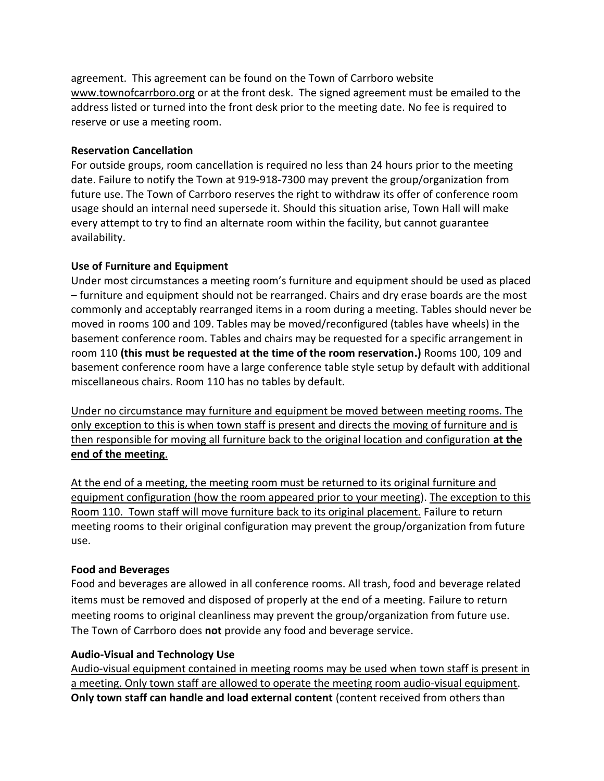agreement. This agreement can be found on the Town of Carrboro website www.townofcarrboro.org or at the front desk. The signed agreement must be emailed to the address listed or turned into the front desk prior to the meeting date. No fee is required to reserve or use a meeting room.

#### **Reservation Cancellation**

For outside groups, room cancellation is required no less than 24 hours prior to the meeting date. Failure to notify the Town at 919-918-7300 may prevent the group/organization from future use. The Town of Carrboro reserves the right to withdraw its offer of conference room usage should an internal need supersede it. Should this situation arise, Town Hall will make every attempt to try to find an alternate room within the facility, but cannot guarantee availability.

## **Use of Furniture and Equipment**

Under most circumstances a meeting room's furniture and equipment should be used as placed – furniture and equipment should not be rearranged. Chairs and dry erase boards are the most commonly and acceptably rearranged items in a room during a meeting. Tables should never be moved in rooms 100 and 109. Tables may be moved/reconfigured (tables have wheels) in the basement conference room. Tables and chairs may be requested for a specific arrangement in room 110 **(this must be requested at the time of the room reservation.)** Rooms 100, 109 and basement conference room have a large conference table style setup by default with additional miscellaneous chairs. Room 110 has no tables by default.

Under no circumstance may furniture and equipment be moved between meeting rooms. The only exception to this is when town staff is present and directs the moving of furniture and is then responsible for moving all furniture back to the original location and configuration **at the end of the meeting**.

At the end of a meeting, the meeting room must be returned to its original furniture and equipment configuration (how the room appeared prior to your meeting). The exception to this Room 110. Town staff will move furniture back to its original placement. Failure to return meeting rooms to their original configuration may prevent the group/organization from future use.

#### **Food and Beverages**

Food and beverages are allowed in all conference rooms. All trash, food and beverage related items must be removed and disposed of properly at the end of a meeting. Failure to return meeting rooms to original cleanliness may prevent the group/organization from future use. The Town of Carrboro does **not** provide any food and beverage service.

#### **Audio-Visual and Technology Use**

Audio-visual equipment contained in meeting rooms may be used when town staff is present in a meeting. Only town staff are allowed to operate the meeting room audio-visual equipment. **Only town staff can handle and load external content** (content received from others than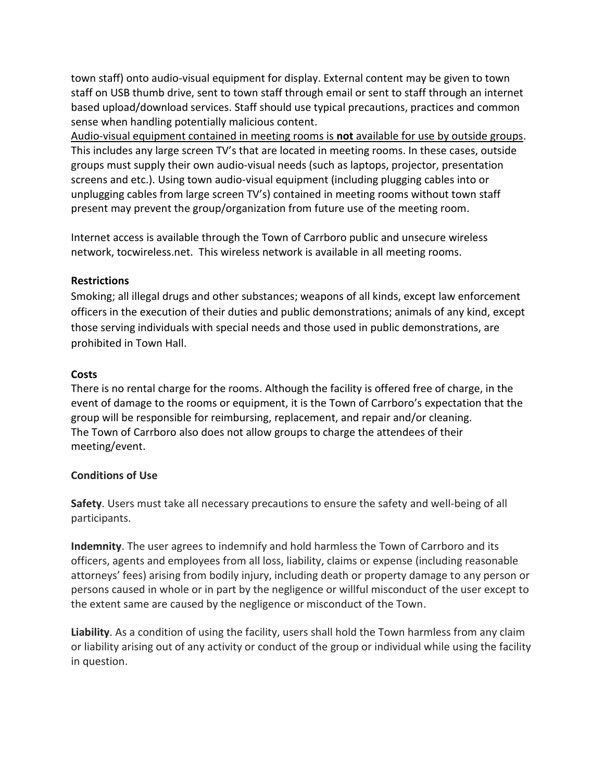town staff) onto audio-visual equipment for display. External content may be given to town staff on USB thumb drive, sent to town staff through email or sent to staff through an internet based upload/download services. Staff should use typical precautions, practices and common sense when handling potentially malicious content.

Audio-visual equipment contained in meeting rooms is **not** available for use by outside groups. This includes any large screen TV's that are located in meeting rooms. In these cases, outside groups must supply their own audio-visual needs (such as laptops, projector, presentation screens and etc.). Using town audio-visual equipment (including plugging cables into or unplugging cables from large screen TV's) contained in meeting rooms without town staff present may prevent the group/organization from future use of the meeting room.

Internet access is available through the Town of Carrboro public and unsecure wireless network, tocwireless.net. This wireless network is available in all meeting rooms.

## **Restrictions**

Smoking; all illegal drugs and other substances; weapons of all kinds, except law enforcement officers in the execution of their duties and public demonstrations; animals of any kind, except those serving individuals with special needs and those used in public demonstrations, are prohibited in Town Hall.

## **Costs**

There is no rental charge for the rooms. Although the facility is offered free of charge, in the event of damage to the rooms or equipment, it is the Town of Carrboro's expectation that the group will be responsible for reimbursing, replacement, and repair and/or cleaning. The Town of Carrboro also does not allow groups to charge the attendees of their meeting/event.

## **Conditions of Use**

**Safety**. Users must take all necessary precautions to ensure the safety and well-being of all participants.

**Indemnity**. The user agrees to indemnify and hold harmless the Town of Carrboro and its officers, agents and employees from all loss, liability, claims or expense (including reasonable attorneys' fees) arising from bodily injury, including death or property damage to any person or persons caused in whole or in part by the negligence or willful misconduct of the user except to the extent same are caused by the negligence or misconduct of the Town.

**Liability**. As a condition of using the facility, users shall hold the Town harmless from any claim or liability arising out of any activity or conduct of the group or individual while using the facility in question.